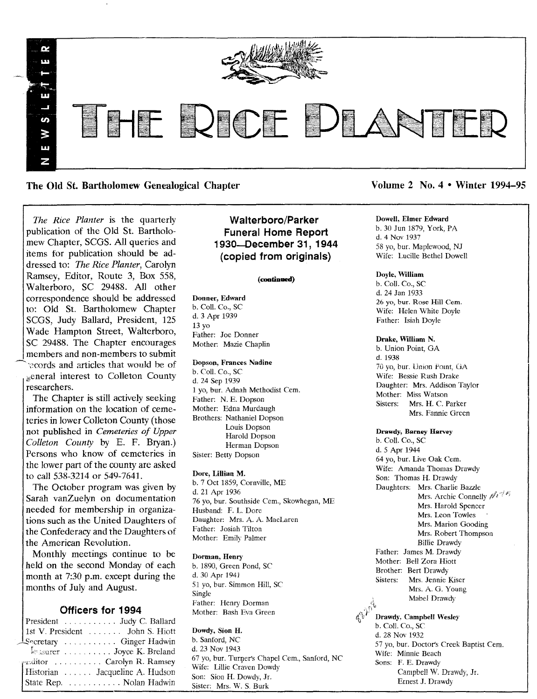

# The Old St. Bartholomew Genealogical Chapter Volume 2 No.4 • Winter 1994–95

*The Rice Planter* is the quarterly publication of the Old St. Bartholomew Chapter, SCGS. All queries and items for publication should be addressed to: *The Rice Planter,* Carolyn Ramsey, Editor, Route 3, Box 558, Walterboro, SC 29488. All other correspondence should be addressed to: Old St. Bartholomew Chapter SCGS, Judy Ballard, President, 125 Wade Hampton Street, Walterboro, SC 29488. The Chapter encourages members and non-members to submit records and articles that would be of general interest to Colleton County researchers.

The Chapter is still actively seeking information on the location of cemeteries in lower Colleton County (those not published in *Cemeteries of Upper Colleton County* by E. F. Bryan.) Persons who know of cemeteries in the lower part of the county are asked to call 538-3214 or 549-7641.

The October program was given by Sarah vanZuelyn on documentation .needed for membership in organizations such as the United Daughters of the Confederacy and the Daughters of the American Revolution.

Monthly meetings continue to be held on the second Monday of each<br>month at 7:30 p.m. except during the Imonth at 7:30 p.m. except during the months of July and August.

## Officers for 1994

| President Judy C. Ballard       |
|---------------------------------|
| 1st V. President  John S. Hiott |
| Lecretary  Ginger Hadwin        |
| Leasurer Joyce K. Breland       |
| reditor Carolyn R. Ramsey       |
| Historian Jacqueline A. Hudson  |
| State Rep. Nolan Hadwin         |
|                                 |

# Walterboro/Parker Funeral Home Report 1930-December 31, 1944 (copied from originals)

#### (continued)

## Donner, Edward

b. Call. Co., SC d. 3 Apr 1939 13 yo Father: Joe Donner Mother: Mazie Chaplin

#### Dopson, Frances Nadine

b. ColI. Co., SC d. 24 Sep 1939 1 yo, bur. Adnah Methodist Cern. Father: N. E. Dopson Mother: Edna Murdaugh Brothers: Nathaniel Dopson Louis Dopson Harold Dopson Herman Dopson Sister: Betty Dopson

#### Dore, Lillian M.

b. 7 Oet 1859, Cornville, ME d. 21 Apr 1936 76 yo, bur. Southside Cem., Skowhegan, ME Husband: F. L Dore Daughter: Mrs. A. A. MacLaren Father: Josiah Tilton Mother: Emily Palmer

Dorman, Henry b. 1890, Green Pond, SC d. 30 Apr 1941 51 yo, bur. Simmon Hill, SC Single

Father: Henry Dorman Mother: Bash Eva Green

## Dowdy, Sion H.

b. Sanford, NC d. 23 Nov 1943 67 yo, bur. Turner's Chapel Cem., Sanford, NC Wife: Lillie Craven Dowdy Son: Sion H. Dowdy, Jr. Sister: Mrs. W. S. Burk

Dowell, Elmer Edward b. 30 Jun 1879, York, PA d. 4 Nov 1937 58 yo, bur. Maplewood, NJ Wife: Lucille Bethel Dowell

## Doyle, William

b. Call. Co., SC d. 24 Jan 1933 26 yo, bur. Rose Hill Cem. Wife: Helen White Doyle Father: Isiah Doyle

## Drake, William N.

b. Union Point, GA d. 1938 70 yo, bur. Union Pomt, GA Wife: Bessie Rush Drake Daughter: Mrs. Addison Taylor Mother: Miss Watson Sisters: Mrs. H. C. Parker Mrs. Fannie Green

#### Drawdy, Barney Harvey

b. Call. Co., SC d. 5 Apr 1944 64 yo, bur. Live Oak Cern. Wife: Amanda Thomas Drawdy Son: Thomas H. Drawdy Daughters: Mrs. Charlie Bazzle Mrs. Archie Connelly  $\mathscr{M}^{\mathscr{A}^{\mathscr{A}^{\mathscr{A}}}}$ Mrs. Harold Spencer Mrs. Leon Towles Mrs. Marion Gooding Mrs. Robert Thompson Billie Drawdy Father: James M. Drawdy Mother: Bell Zora Hiott Brother: Bert Drawdy<br>Sisters: Mrs. Jennie Mrs. Jennie Kiser Mrs. A. G. Young Mabel Drawdy Drawdy, Campbell Wesley b. Call. Co., SC d. 28 Nov 1932 57 yo, bur. Doctor's Creek Baptist Cern. Wife: Minnie Beach

Sons: F. E. Drawdy Campbell W. Drawdy, Jr. Ernest J. Drawdy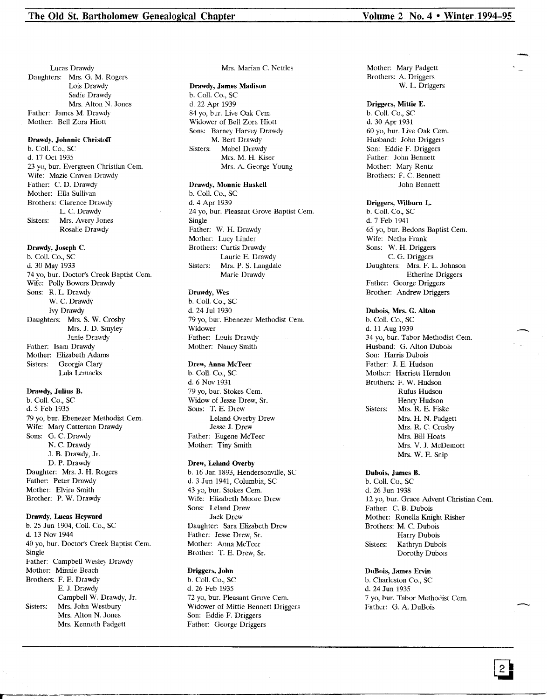Lucas Drawdy Daughters: Mrs. G. M. Rogers Lois Drawdy Sadie Drawdy Mrs. Alton N. Jones Father: James M. Drawdy Mother: Bell Zora Hiott

#### Drawdy, Johnnie Christoff

b. Call. Co., SC d. 17 Od 1935 23 yo, bur. Evergreen Christian Cem. Wife: Mazie Craven Drawdy Father: C. D. Drawdy Mother: Ella Sullivan Brothers: Clarence Drawdy L. C. Drawdy Sisters: Mrs. Avery Jones Rosalie Drawdy

## Drawdy, Joseph C.

b. Call. Co., SC d. 30 May 1933 74 yo, bur. Doctor's Creek Baptist Cern. Wife: Polly Bowers Drawdy Sons: R. L. Drawdy W. C. Drawdy Ivy Drawdy Daughters: Mrs. S. W. Crosby Mrs. J. D. Smyley Janie Drawdy Father: Isam Drawdy Mother: Elizabeth Adams Sisters: Georgia Clary Lula Lemacks

## Drawdy, Julius B.

b. Call. Co., SC d.5 Feb 1935 79 yo, bur. Ebenezer Methodist Cem. Wife: Mary Catterton Drawdy Sons: G. C. Drawdy N. C. Drawdy J. B. Drawdy, Jr. D. P. Drawdy Daughter: Mrs. J. H. Rogers Father: Peter Drawdy Mother: Elvira Smith Brother: P. W. Drawdy

## Drawdy, Lucas Heyward

b. 25 Jun 1904, Coil. Co., SC d. 13 Nov 1944 40 yo, bur. Doctor's Creek Baptist Cem. Single Father: Campbell Wesley Drawdy Mother: Minnie Beach Brothers: F. E. Drawdy E. J. Drawdy Campbell W. Drawdy, Jr. Sisters: Mrs. John Westbury Mrs. Alton N. Jones Mrs. Kenneth Padgett

## Mrs. Marian C. Nettles

# Drawdy, James Madison

b. Call. Co., SC d. 22 Apr 1939 84 yo, bur. Live Oak Cem. Widower of Bell Zora Hiott Sons: Barney Harvey Drawdy M. Bert Drawdy Sisters: Mabel Drawdy Mrs. M. H. Kiser Mrs. A. George Young

## Drawdy, Monnie Haskell

b. Call. Co., SC d. 4 Apr 1939 24 yo, bur. Pleasant Grove Baptist Cem. Single Father: W. H. Drawdy Mother: Lucy Linder Brothers: Curtis Drawdy Laurie E. Drawdy Sisters: Mrs. P. S. Langdale Marie Drawdy

## Drawdy, Wes

b. Call. Co., SC d. 24 Jul 1930 79 yo, bur. Ebenezer Methodist Cem. Widower Father: Louis Drawdy Mother: Nancy Smith

## Drew, Anna McTeer

b. ColI. Co., SC d. 6 Nov 1931 79 yo, bur. Stokes Cern. Widow of Jesse Drew, Sr. Sons: T. E. Drew Leland Overby Drew Jesse J. Drew Father: Eugene McTeer Mother: Tiny Smith

#### Drew, Leland Overby

b. 16 Jan 1893, Hendersonville, SC d. 3 Jun 1941, Columbia, SC 43 vo, bur. Stokes Cem. Wife: Elizabeth Moore Drew Sons: Leland Drew Jack Drew Daughter: Sara Elizabeth Drew Father: Jesse Drew, Sr. Mother: Anna McTeer Brother: T. E. Drew, Sr.

## Driggers, John

b. Call. Co., SC d. 26 Feb 1935 72 yo, bur. Pleasant Grove Cem. Widower of Mittie Bennett Driggers Son: Eddie F. Driggers Father: George Driggers

Mother: Mary Padgett Brothers: A. Driggers W. L. Driggers

## Driggers, Mittie E. b. Call. Co., SC

d. 30 Apr 1931 60 yo, bur. Live Oak Cern. Husband: John Driggers Son: Eddie F. Driggers Father: John Bennett Mother: Mary Rentz Brothers: F. C. Bennett John Bennett

## Driggers, Wilburn L.

b. Call. Co., SC d. 7 Feb 1941 65 yo, bur. Bedons Baptist Cem. Wife: Netha Frank Sons: W. H. Driggers C. G. Driggers Daughters: Mrs. F. L. Johnson Etherine Driggers Father: George Driggers Brother: Andrew Driggers

## Dubois, Mrs. G. Alton b. Call. Co., SC d. 11 Aug 1939 34 yo, bur. Tabor Methodist Cem. Husband: G. Alton Dubois Son: Harris Dubois Father: J. E. Hudson Mother: Harriett Herndon Brothers: F. W. Hudson Rufus Hudson Henry Hudson Sisters: Mrs. R. E. Fiske Mrs. H. N. Padgett

Mrs. R. C. Crosby Mrs. Bill Hoats Mrs. V. J. McDemott Mrs. W. E. Snip

## Dubois, James B. b. ColI. Co., SC d. 26 Jun 1938 12 yo, bur. Grace Advent Christian Cem. Father: C. B. Dubois Mother: Ronella Knight Risher Brothers: M. C. Dubois Harry Dubois Sisters: Kathryn Dubois Dorothy Dubois

DuBois, James Ervin b. Charleston Co., SC d. 24 Jun 1935 7 yo, bur. Tabor Methodist Cern. **DuBois, James Ervin**<br>
b. Charleston Co., SC<br>
d. 24 Jun 1935<br>
7 yo, bur. Tabor Methodist Cem.<br>
Father: G. A. DuBois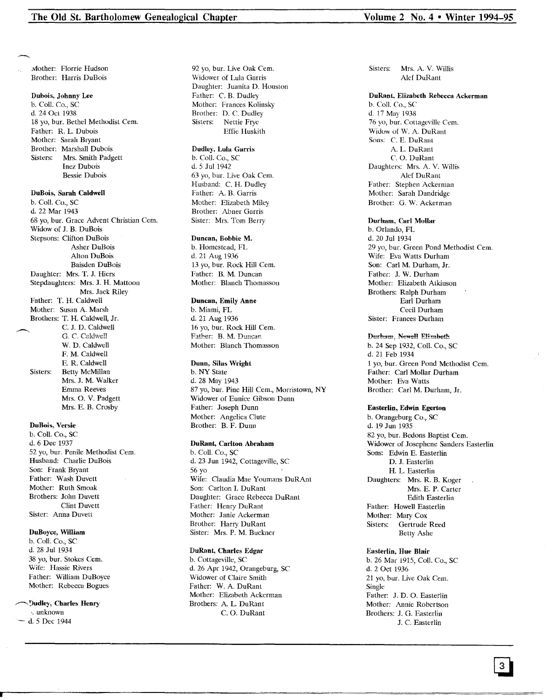Mother: Florrie Hudson Brother: Harris DuBois

## Dubois, Johnny Lee

b. Coli. Co., SC d. 24 Oct 1938 18 yo, bur. Bethel Methodist Cern. Father: R. L. Dubois Mother: Sarah Bryant Brother: Marshall Dubois Sisters: Mrs. Smith Padgett Inez Dubois Bessie Dubois

#### DuBois, Sarah Caldwell

b. Call. Co., SC d. 22 Mar 1943 68 yo, bur. Grace Advent Christian Cern. Widow of J. B. DuBois Stepsons: Clifton DuBois Asher DuBois Alton DuBois Baisden DuBois Daughter: Mrs. T. J. Hiers Stepdaughters: Mrs. J. H. Mattoon Mrs. Jack Riley Father: T. H. Caldwell Mother: Susan A. Marsh Brothers: T. H. Caldwell, Jr. C. J. D. Caldwell G. C. Caldwell W. D. Caldwell F. M. Caldwell E. R. Caldwell Sisters: Betty McMillan Mrs. J. M. Walker Emma Reeves Mrs. O. V. Padgett Mrs. E. B. Crosby

## DuBois, Versie

b. ColI. Co., SC d. 6 Dec 1937 52 yo, bur. Penile Methodist Cem. Husband: Charlie DuBois Son: Frank Bryant Father: Wash Duvett Mother: Ruth Smoak Brothers: John Duvett Clint Duvett Sister: Anna Duvett

## DuBoyce, William

b. Coli. Co., SC d. 28 Jul 1934 38 yo, bur. Stokes Cem. Wife: Hassie Rivers Father: William DuBoyce Mother: Rebecca Bogues

#### r""'9udle)', Charles Henry

'. unknown ~ d. 5 Dec 1944 92 yo, bur. Live Oak Cem. \Vidower of Lula Garris Daughter: Juanita D. Houston Father: C. B. Dudley Mother: Frances Kolinsky Brother: D. C. Dudley Sisters: Nettie Frye Effie Huskith

## Dudley, Lula Garris

b. Call. Co., SC d. 5 Jul 1942 63 yo, bur. Live Oak Cem. Husband: C. H. Dudley Father: A. B. Garris Mother: Elizabeth Miley Brother: Abner Garris Sister: Mrs. Tom Berry

## Duncan, Bobbie M.

b. Homestead, FL d. 21 Aug 1936 13 yo, bur. Rock Hill Cem. Father: B. M. Duncan Mother: Blanch Thomasson

## Duncan, Emily Anne

b. Miami, FL d. 21 Aug 1936 16 yo, bur. Rock Hili Cem. Father: B. M. Duncan Mother: Blanch Thomasson

#### Dunn, Silas Wright

b. NY State d. 28 May 1943 87 yo, bur. Pine Hill Cem., Morristown, NY Widower of Eunice Gibson Dunn Father: Joseph Dunn Mother: Angelica Clute Brother: B. F. Dunn

## DuRant, Carlton Abraham

b. Coli. Co., SC d. 23 Jun 1942, Cottageville, SC 56 yo Wife: Claudia Mae Youmans DuRAnt Son: Carlton 1. DuRant Daughter: Grace Rebecca DuRant Father: Henry DuRant Mother: Janie Ackerman Brother: Harry DuRant Sister: Mrs. P. M. Buckner

## DuRant, Charles Edgar

b. Cottageville, SC d. 26 Apr 1942, Orangeburg, SC Widower of Claire Smith Father: W. A. DuRant Mother: Elizabeth Ackerman Brothers: A. L. DuRant C. O. DuRant

Sisters: Mrs. A. V. Willis Alef DuRant

#### DuRant. Elizabeth Rebecca Ackerman

b. ColI. Co., SC d. 17 May 1938 76 yo, bur. Cottageville Cem. Widow of W. A. DuRant Sons: C. E. DuRant A. L. DuRant C. O. DuRant Daughters: Mrs. A. V. Willis Alef DuRant Father: Stephen Ackerman Mother: Sarah Dandridge Brother: G. W. Ackerman

## Durham. Carl Mollar

b. Orlando, FL d. 20 Jul 1934 29 yo, bur. Green Pond Methodist Cem. Wife: Eva Watts Durham Son: Carl M. Durham, Jr. Father: J. W. Durham Mother: Elizabeth Atkinson Brothers: Ralph Durham Earl Durham Cecil Durham Sister: Frances Durham

## Durham, Newell Elizabeth

b. 24 Sep 1932, Coli. Co., SC d. 21 Feb 1934 1yo, bur. Green Pond Methodist Cem. Father: Carl Mollar Durham Mother: Eva Watts Brother: Carl M. Durham, Jr.

#### Easterlin, Edwin Egerton

b. Orangeburg Co., SC d. 19 Jun 1935 82 yo, bur. Bedons Baptist Cem. Widower of Josephene Sanders Easterlin Sons: Edwin E. Easterlin D. J. Easterlin H. L. Easterlin Daughters: Mrs. R. B. Koger Mrs. E. P. Carter Edith Easterlin Father: Howell Easterlin Mother: Mary Cox Sisters: Gertrude Reed Betty Ashe

## Easterlin, Hue Blair

b. 26 Mar 1915, ColI. Co., SC d. 2 Oct 1936 21 yo, bur. Live Oak Cem. Single Father: J. D. O. Easterlin Mother: Annie Robertson Brothers: J. G. Easterlin J. C. Easterlin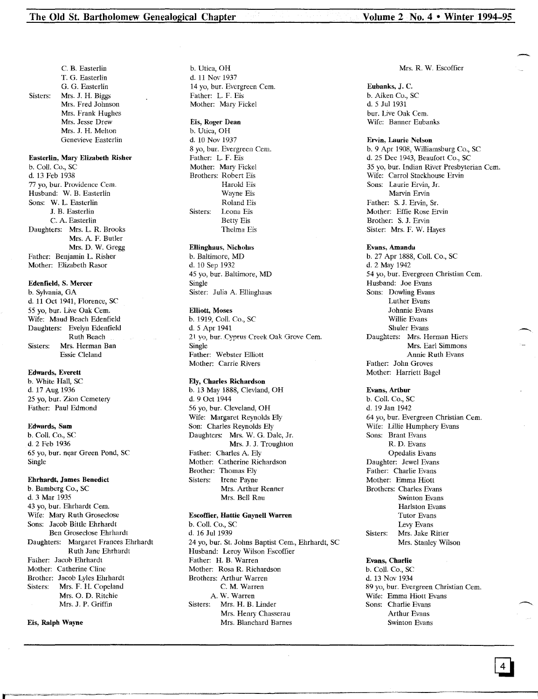C. B. Easterlin T. G. Easterlin G. G. Easterlin Sisters: Mrs. J. H. Biggs Mrs. Fred Johnson Mrs. Frank Hughes Mrs. Jesse Drew Mrs. J. H. Melton Genevieve Easterlin

## Easterlin, Mary Elizabeth Risher

b. Coli. Co., SC d. 13 Feb 1938 77 yo, bur. Providence Cem. Husband: W. B. Easterlin Sons: W. L. Easterlin J. B. Easterlin C. A. Easterlin Daughters: Mrs. L. R. Brooks Mrs. A. F. Butler Mrs. D. W. Gregg Father: Benjamin L. Risher Mother: Elizabeth Rasor

## Edenfield, S. Mercer

b. Sylvania, GA d. 11 Oct 1941, Florence, SC 55 yo, bur. Live Oak Cern. Wife: Maud Beach Edenfield Daughters: Evelyn Edenfield Ruth Beach Sisters: Mrs. Herman Ban Essie Cleland

## Edwards, Everett

b. White Hall, SC d. 17 Aug 1936 25 yo, bur. Zion Cemetery Father: Paul Edmond

## Edwards, Sam

b. Call. Co., SC d.2 Feb 1936 65 yo, bur. near Green Pond, SC Single

#### Ehrhardt., James Benedict

b. Bamberg Co., SC d.3 Mar 1935 43 yo, bur. Ehrhardt Cem. Wife: Mary Ruth Groseclose Sons: Jacob Bittle Ehrhardt Ben Groseclose Ehrhardt Daughters: Margaret Frances Ehrhardt Ruth Jane Ehrhardt Father: Jacob Ehrhardt Mother: Catherine Cline Brother: Jacob Lyles Ehrhardt Sisters: Mrs. F. H. Copeland Mrs. O. D. Ritchie Mrs. J. P. Griffin

## Eis, Ralph Wayne

b. Utica, OH d. 11 Nov 1937 14 yo, bur. Evergreen Cem. Father: L. F. Eis Mother: Mary Fickel

## Eis, Roger Dean

b. Utica, OH d. 10 Nov 1937 8 yo, bur. Evergreen Cem. Father: L. F. Eis Mother: Mary Fickel Brothers: Robert Eis Harold Eis Wayne Eis Roland Eis Sisters: Leona Eis Betty Eis Thelma Eis

## Ellinghaus, Nicholas

b. Baltimore, MD d. 10 Sep 1932 45 yo, bur. Baltimore, MD Single Sister: Julia A. Ellinghaus

#### Elliott, Moses

b. 1919, Call. Co., SC d. 5 Apr 1941 21 yo, bur. Cyprus Creek Oak Grove Cern. Single Father: Webster Elliott Mother: Carrie Rivers

## Ely, Charles Richardson

b. 13 May 1888, Clevland, OH d. 9 Oct 1944 56 yo, bur. Cleveland, OH Wife: Margaret Reynolds Ely Son: Charles Reynolds Ely Daughters: Mrs. W. G. Dale, Jr. Mrs. J. J. Troughton Father: Charles A. Ely Mother: Catherine Richardson Brother: Thomas Ely<br>Sisters: Irene Payne Irene Payne Mrs. Arthur Renner Mrs. Bell Rau

## Escoffier, Hattie Gaynell Warren

b. ColI. Co., SC d. 16 Jul 1939 24 yo, bur. St. Johns Baptist Cem., Ehrhardt, SC Husband: Leroy Wilson Escoffier Father: H. B. Warren Mother: Rosa R. Richardson Brothers: Arthur Warren C. M. Warren A. W. Warren Sisters: Mrs. H. B. Linder Mrs. Henry Chasserau Mrs. Blanchard Barnes

#### Mrs. R. W. Escoffier

Eubanks, J. C. b. Aiken Co., SC d. 5 Jul 1931 bur. Live Oak Cem. Wife: Banner Eubanks

#### Ervin, Laurie Nelson

b. 9 Apr 1908, Williamsburg Co., SC d. 25 Dee 1943, Beaufort Co., SC 35 yo, bur. Indian River Presbyterian Cem. Wife: Carrol Stackhouse Ervin Sons: Laurie Ervin, Jr. Marvin Ervin Father: S. J. Ervin, Sr. Mother: Effie Rose Ervin Brother: S. J. Ervin Sister: Mrs. F. W. Hayes

# Evans, Amanda

b. 27 Apr 1888, Call. Co., SC d. 2 May 1942 54 yo, bur. Evergreen Christian Cem. Husband: Joe Evans Sons: Dowling Evans Luther Evans Johnnie Evans Willie Evans Shuler Evans Daughters: Mrs. Herman Hiers Mrs. Earl Simmons Annie Ruth Evans Father: John Groves Mother: Harriett Bagel

#### Evans, Arthur

b. Call. Co., SC d. 19 Jan 1942 64 yo, bur. Evergreen Christian Cem. Wife: Lillie Humphery Evans Sons: Brant Evans R. D. Evans Opedalis Evans Daughter: Jewel Evans Father: Charlie Evans Mother: Emma Hiott Brothers: Charles Evans Swinton Evans Harlston Evans Tutor Evans Levy Evans Sisters: Mrs. Jake Ritter Mrs. Stanley Wilson

## Evans, Charlie

b. Call. Co., SC d. 13 Nov 1934 89 yo, bur. Evergreen Christian Cem. Wife: Emma Hiott Evans Sons: Charlie Evans Arthur Evans Swinton Evans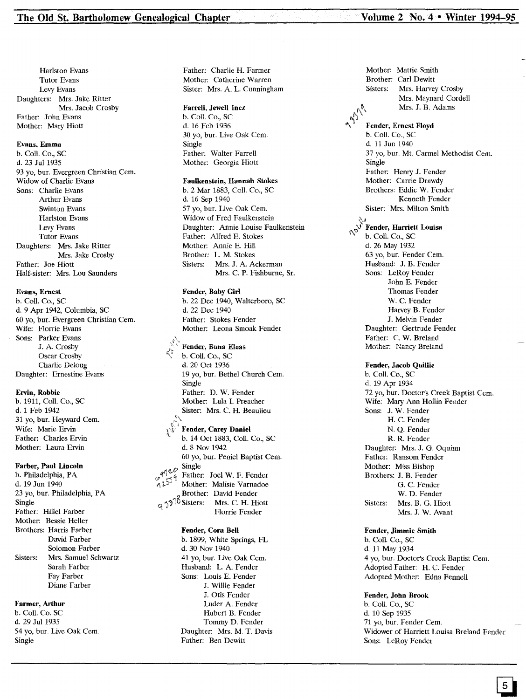~\

Harlston Evans Tutor Evans Lery Evans Daughters: Mrs. Jake Ritter Mrs. Jacob Crosby Father: John Evans Mother: Mary Hiott

#### Evans, Emma

b. Call. Co., SC d. 23 Jul 1935 93 yo, bur. Evergreen Christian Cem. Widow of Charlie Evans Sons: Charlie Evans Arthur Evans Swinton Evans Harlston Evans Lery Evans Tutor Evans Daughters: Mrs. Jake Ritter Mrs. Jake Crosby Father: Joe Hiott Half-sister: Mrs. Lou Saunders

## Evans, Ernest

b. Call. Co., SC d. 9 Apr 1942, Columbia, SC 60 yo, bur. Evergreen Christian Cern. Wife: Florrie Evans Sons: Parker Evans J. A. Crosby Oscar Crosby Charlie Delong Daughter: Ernestine Evans

#### Ervin, Robbie

b. 1911, Call. Co., SC d. 1 Feb 1942 31 yo, bur. Heyward Cem. Wife: Marie Ervin Father: Charles Ervin Mother: Laura Ervin

#### Farber, Paul lincoln

b. Philadelphia, PA d. 19 Jun 1940 23 yo, bur. Philadelphia, PA Single Father: Hillel Farber Mother: Bessie Heller Brothers: Harris Farber David Farber Solomon Farber Sisters: Mrs. Samuel Schwartz Sarah Farber Fay Farber Diane Farber

#### Farmer, Arthur

b. Call. Co. SC d. 29 Jul 1935 54 yo, bur. Live Oak Cern. Single

Father: Charlie H. Farmer Mother: Catherine Warren Sister: Mrs. A. L. Cunningham

## Farrell, Jewell Inez

b. Call. Co., SC d. 16 Feb 1936 30 yo, bur. Live Oak Cem. Single Father: Walter Farrell Mother: Georgia Hiott

#### Faulkenstein, Hannah Stokes

b. 2 Mar 1883, Call. Co., SC d. 16 Sep 1940 57 yo, bur. Live Oak Cem. Widow of Fred Faulkenstein Daughter: Annie Louise Faulkenstein Father: Alfred E. Stokes Mother: Annie E. Hill Brother: L M. Stokes Sisters: Mrs. J. A. Ackerman Mrs. C. P. Fishburne, Sr.

### Fender, Baby Girl

b. 22 Dec 1940, Walterboro, SC d. 22 Dee 1940 Father: Stokes Fender Mother: Leona Smoak Fender

b. Coll. Co., SC d. 20 Oct 1936 19 yo, bur. Bethel Church Cern. Single Father: D. W. Fender Mother: Lula I. Preacher Sister: Mrs. C. H. Beaulieu

Fender, Carey Daniel b. 14 Oct 1883, Call. Co., SC d. 8 Nov 1942 60 yo, bur. Peniel Baptist Cern.  $q \gamma \iota^{\mathcal{O}}$  Single Father: Joel W. F. Fender Mother: Malisie Varnadoe Brother: David Fender.<br> $9,3^{\text{?}}$ <sup>10</sup> Sisters: Mrs. C. H. Hiott Florrie Fender.

## Fender, Cora Bell

b. 1899, White Springs, FL d. 30 Nov 1940 41 yo, bur. Live Oak Cem. Husband: L A. Fender Sons: Louis E. Fender J. Willie Fender J. Otis Fender Luder A. Fender Hubert B. Fender Tommy D. Fender Daughter: Mrs. M. T. Davis Father: Ben Dewitt

Fender, Buna Eleas ..... 100 Mother: Nancy Breland Mother: Mattie Smith Brother: Carl Dewit Mrs. Harvey Crosby Mrs. Maynard Cordell Mrs. J. B. Adams Sisters:  $\mathcal{L}_{\mathcal{L}}$  $_{\odot}$  render, Harriett Louis \\; b. Call. Co., SC d. 26 May 1932 63 yo, bur. Fender Cem. Husband: J. B. Fender Sons: LeRoy Fender John E. Fender Thomas Fender W. C. Fender Harvey B. Fender J. Melvin Fender Daughter: Gertrude Fender Father: C. W. Breland Fender, Jacob Quillie b. Call. Co., SC d. 19 Apr 1934 72 yo, bur. Doctor's Creek Baptist Cern. Wife: Mary Ann Hollin Fender Sons: J. W. Fender H. C. Fender N. Q. Fender R. R. Fender Daughter: Mrs. J. G. Oquinn Father: Ransom Fender Mother: Miss Bishop Brothers: J. B. Fender G. C. Fender W. D. Fender Sisters: Mrs. B. G. Hiott Mrs. J. W. Avant  $U_{\alpha\beta}$ Fender, Ernest Floyd b. Call. Co., SC d. 11 Jun 1940 37 yo, bur. Mt. Carmel Methodist Cern. Single Father: Henry J. Fender Mother: Carrie Drawdy Brothers: Eddie W. Fender Kenneth Fender Sister: Mrs. Milton Smith

#### Fender, Jimmie Smith

b. Call. Co., SC d. 11 May 1934 4 yo, bur. Doct01'S Creek Baptist Cem. Adopted Father: H. C. Fender Adopted Mother: Edna Fennell

#### Fender, John Brook

b. ColI. Co., SC d. 10 Sep 1935 71 yo, bur. Fender Cem. Widower of Harriett Louisa Breland Fender Sons: LeRoy Fender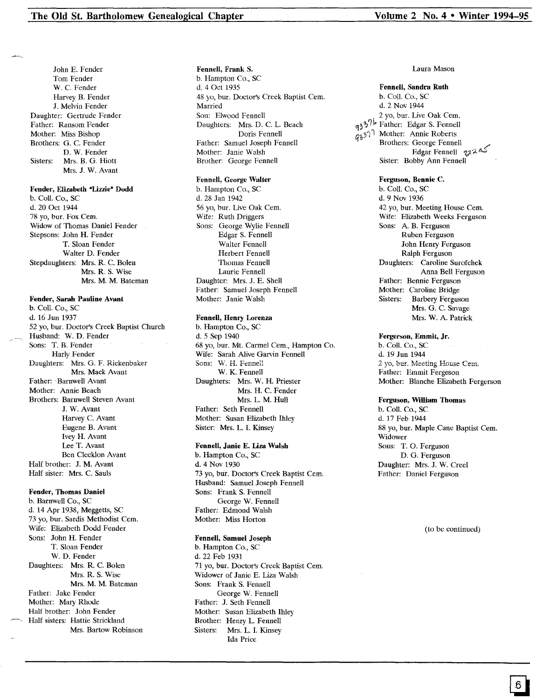John E. Fender Tom Fender W. C. Fender Harvey B. Fender J. Melvin Fender Daughter: Gertrude Fender Father: Ransom Fender Mother: Miss Bishop Brothers: G. C. Fender D. W. Fender Sisters: Mrs. B. G. Hiott Mrs. J. W. Avant

## Fender, Elizabeth "Lizzie" Dodd

b. Call. Co., SC d. 20 Oct 1944 78 yo, bur. Fox Cem. Widow of Thomas Daniel Fender Stepsons: John H. Fender T. Sloan Fender Walter D. Fender Stepdaughters: Mrs. R. C. Bolen Mrs. R. S. Wise Mrs. M. M. Bateman

Fender, Sarah Pauline Avant b. Call. Co., SC d. 16 Jun 1937 52 yo, bur. Doctor's Creek Baptist Church Husband: W. D. Fender Sons: T. B. Fender Harly Fender Daughters: Mrs. G. F. Rickenbaker Mrs. Mack Avant Father: 'Barnwell Avant Mother: Annie Beach Brothers: Barnwell Steven Avant J. W.Avant Harvey C. Avant Eugene B. Avant Ivey H. Avant Lee T. Avant Ben Clecklon Avant Half brother: J. M. Avant Half sister: Mrs. C. Sauls

Fender, Thomas Daniel b. Barnwell Co., SC d. 14 Apr 1938, Meggetts, SC 73 yo, bur. Sardis Methodist Cern. Wife: Elizabeth Dodd Fender Sons: John H. Fender T. Sloan Fender W. D. Fender Daughters: Mrs. R. C. Bolen Mrs. R. S. Wise Mrs. M. M. Bateman Father: Jake Fender Mother: Mary Rhode Half brother: John Fender Half sisters: Hattie Strickland Mrs. Bartow Robinson Fennell, Frank S.

b. Hampton Co., SC d. 4 Oct 1935 48 yo, bur. Doctor's Creek Baptist Cern. Married Son: Elwood Fennell Daughters: Mrs. D. C. L. Beach Doris Fennell Father: Samuel Joseph Fennell Mother: Janie Walsh Brother: George Fennell

#### Fennell, George Walter

b. Hampton Co., SC d. 28 Jan 1942 56 yo, bur. Live Oak Cem. Wife: Ruth Driggers Sons: George Wylie Fennell Edgar S. Fennell Walter Fennell Herbert Fennell Thomas Fennell Laurie Fennell Daughter: Mrs. J. E. Shell Father: Samuel Joseph Fennell Mother: Janie Walsh

## Fennell, Henry Lorenza

b. Hampton Co., SC d.5 Sep 1940 68 yo, bur. Mt.Carmel Cern., Hampton Co. Wife: Sarah Alive Garvin Fennell Sons: W. H. Fennell W. K. Fennell Daughters: Mrs. W. H. Priester Mrs. H. C. Fender Mrs. L. M. Hull Father: Seth Fennell Mother: Susan Elizabeth Ihley Sister: Mrs. L. I. Kinsey

## Fennell, Janie E. Liza Walsh

b. Hampton Co., SC d. 4 Nov 1930 73 yo, bur. Doctor's Creek Baptist Cern. Husband: Samuel Joseph Fennell Sons: Frank S. Fennell George W. Fennell Father: Edmond Walsh Mother: Miss Horton

## Fennell, Samuel Joseph

b. Hampton Co., SC d. 22 Feb 1931 71 yo, bur. Doctor's Creek Baptist Cern. Widower of Janie E. Liza Walsh Sons: Frank S. Fennell George W. Fennell Father: J. Seth Fennell Mother: Susan Elizabeth Ihley Brother: Henry L. Fennell<br>Sisters: Mrs. L. I. Kinsev Mrs. L. I. Kinsey Ida Price

#### Laura Mason

#### Fennell, Sandra Ruth

b. Coli. Co., SC d. 2 Nov 1944 2 yo, bur. Live Oak Cern.  $a_33$ <sup>7</sup>l<sup>2</sup> Father: Edgar S. Fennell  $q_3^2$ <sup>1</sup> Mother: Annie Roberts<br>Brothers: George Fennell كه جهود Edgar Fennell<br>كه جهود Edgar Fennell Sister: Bobby Ann Fennell

#### Ferguson, Bennie C.

b. Call. Co., SC d. 9 Nov 1936 42 yo, bur. Meeting House Cem. Wife: Elizabeth Weeks Ferguson Sons: A. B. Ferguson Ruben Ferguson John Henry Ferguson Ralph Ferguson Daughters: Caroline Surofchek Anna Bell Ferguson Father: Bennie Ferguson Mother: Caroline Bridge<br>Sisters: Barbery Fergus Barbery Ferguson Mrs. G. C. Savage Mrs. W. A. Patrick

## Fergerson, Emmit, Jr.

b. Coil. Co., SC d. 19 Jun 1944 2 yo, bur. Meeting House Cern. Father: Emmit Fergeson Mother: Blanche Elizabeth Fergerson

#### Ferguson, William Thomas

b. Call. Co., SC d. 17 Feb 1944 88 yo, bur. Maple Cane Baptist Cem. Widower Sons: T. O. Ferguson D. G. Ferguson Daughter: Mrs. J. W. Creel Father: Daniel Ferguson

(to be continued)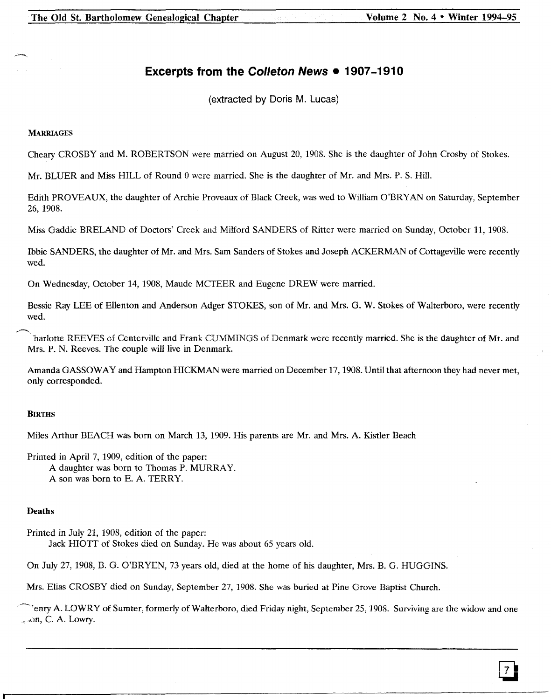The Old St. Bartholomew Genealogical Chapter Volume 2 No. 4 • Winter 1994-95

# **Excerpts from the Colleton News • 1907-1910**

(extracted by Doris M. Lucas)

## **MARRIAGES**

Cheary CROSBY and M. ROBERTSON were married on August 20, 1908. She is the daughter of John Crosby of Stokes.

Mr. BLUER and Miss HILL of Round 0 were married. She is the daughter of Mr. and Mrs. P. S. Hill.

Edith PROVEAUX, the daughter of Archie Proveaux of Black Creek, was wed to William O'BRY AN on Saturday, September 26, 1908.

Miss Gaddie BRELAND of Doctors' Creek and Milford SANDERS of Ritter were married on Sunday, October 11, 1908.

Ibbie SANDERS, the daughter of Mr. and Mrs. Sam Sanders of Stokes and Joseph ACKERMAN of Cottageville were recently wed.

On Wednesday, October 14, 1908, Maude MCTEER and Eugene DREW were married.

Bessie Ray LEE of Ellenton and Anderson Adger STOKES, son of Mr. and Mrs. G. W. Stokes of Walterboro, were recently wed.

...,....-.....,., harlotte REEVES of Centerville and Frank CUMMINGS of Denmark were recently married. She is the daughter of Mr. and Mrs. P. N. Reeves. The couple will live in Denmark.

Amanda GASSOWAY and Hampton HICKMAN were married on December 17, 1908. Until that afternoon they had never met, only corresponded.

## **BIRTHS**

Miles Arthur BEACH was born on March 13, 1909. His parents are Mr. and Mrs. A. Kistler Beach

Printed in April 7, 1909, edition of the paper: A daughter was born to Thomas P. MURRAY.

A son was born to E. A. TERRY.

## Deaths

Printed in July 21, 1908, edition of the paper: Jack HIOTT of Stokes died on Sunday. He was about 65 years old.

On July 27, 1908, B. G. O'BRYEN, 73 years old, died at the home of his daughter, Mrs. B. G. HUGGINS.

Mrs. Elias CROSBY died on Sunday, September 27, 1908. She was buried at Pine Grove Baptist Church.

~Tenry A. LOWRY of Sumter, formerly of Walterboro, died Friday night, September 25, 1908. Surviving are the widow and one  $_{\sim}$  son, C. A. Lowry.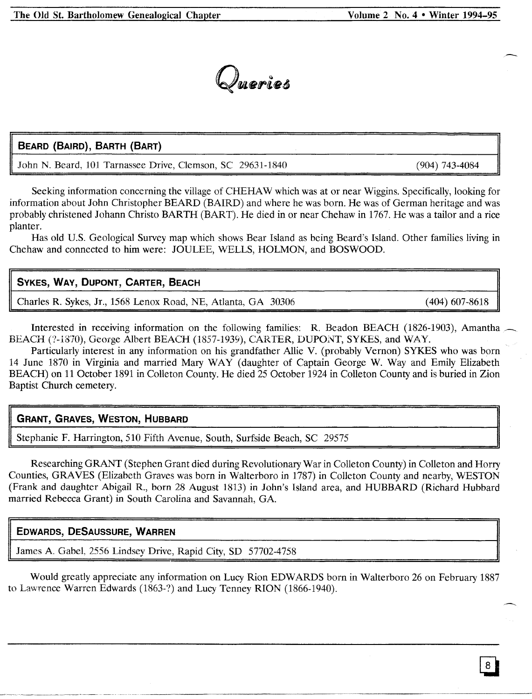

# **BEARD (BAIRD), BARTH (BART)**

John N. Beard, 101 Tamassee Drive, Clemson, SC 29631-1840

Seeking information concerning the village of CHEHAW which was at or near Wiggins. Specifically, looking for information about John Christopher BEARD (BAIRD) and where he was born. He was of German heritage and was probably christened Johann Christo BARTH (BART). He died in or near Chehaw in 1767. He was a tailor and a rice planter.

Has old U.S. Geological Survey map which shows Bear Island as being Beard's Island. Other families living in Chehaw and connected to him were: JOULEE, WELLS, HOLMON, and BOSWOOD.

# **SYKES, WAY, DUPONT, CARTER, BEACH**

Charles R. Sykes, Jr., 1568 Lenox Road, NE, Atlanta, GA 30306 (404) 607-8618

Interested in receiving information on the following families: R. Beadon BEACH (1826-1903), Amantha BEACH (?-1870), George Albert BEACH (1857-1939), CARTER, DUPONT, SYKES, and WAY.

Particularly interest in any information on his grandfather Allie V. (probably Vernon) SYKES who was born 14 June 1870 in Virginia and married Mary WAY (daughter of Captain George W. Way and Emily Elizabeth BEACH) on 11 October 1891 in Colleton County. He died 25 October 1924 in Colleton County and is buried in Zion Baptist Church cemetery.

# **GRANT, GRAVES, WESTON, HUBBARD**

Stephanie F. Harrington, 510 Fifth Avenue, South, Surfside Beach, SC 29575

Researching GRANT (Stephen Grant died during Revolutionary War in Colleton County) in Colleton and Horry Counties, GRAVES (Elizabeth Graves was born in Walterboro in 1787) in Colleton County and nearby, WESTON (Frank and daughter Abigail R., born 28 August 1813) in John's Island area, and HUBBARD (Richard Hubbard married Rebecca Grant) in South Carolina and Savannah, GA.

# **EDWARDS, DESAUSSURE, WARREN**

James A. Gabel, 2556 Lindsey Drive, Rapid City, SD 57702-4758

Would greatly appreciate any information on Lucy Rion EDWARDS born in Walterboro 26 on February 1887 to Lawrence Warren Edwards (1863-?) and Lucy Tenney RION (1866-1940).

(904) 743-4084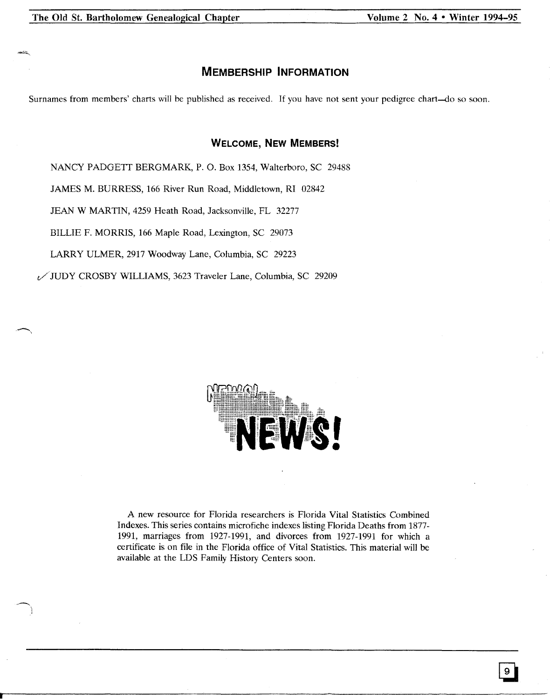# **MEMBERSHIP INFORMATION**

Surnames from members' charts will be published as received. If you have not sent your pedigree chart-do so soon.

# **WELCOME, NEW MEMBERS!**

NANCY PADGETT BERGMARK, P. O. Box 1354, Walterboro, SC 29488

JAMES M. BURRESS, 166 River Run Road, Middletown, RI 02842

JEAN W MARTIN, 4259 Heath Road, Jacksonville, FL 32277

BILLIE F. MORRIS, 166 Maple Road, Lexington, SC 29073

LARRY ULMER, 2917 Woodway Lane, Columbia, SC 29223

c./JUDY CROSBY WILLIAMS, 3623 Traveler Lane, Columbia, SC 29209



A new resource for Florida researchers is Florida Vital Statistics Combined Indexes. This series contains microfiche indexes listing Florida Deaths from 1877- 1991, marriages from 1927-1991, and divorces from 1927-1991 for which a certificate is on file in the Florida office of Vital Statistics. This material will be available at the LDS Family History Centers soon.